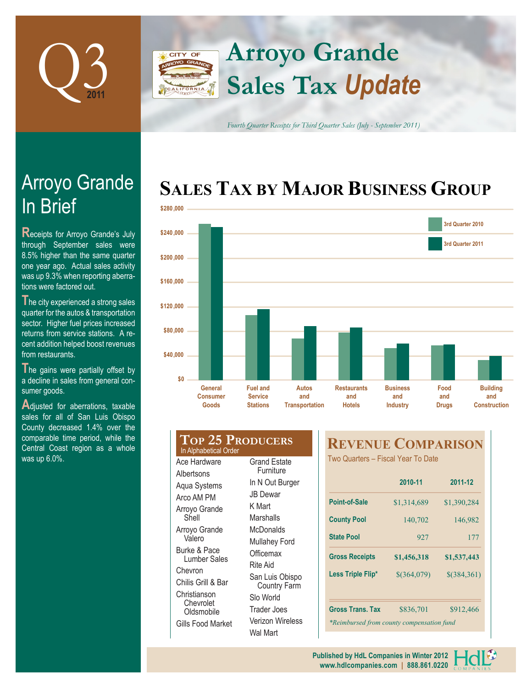

### **Arroyo Grande CITY OF Sales Tax** *Update* FORNIA

*Fourth Quarter Receipts for Third Quarter Sales (July - September 2011)*

# **SALES TAX BY MAJOR BUSINESS GROUP**



| \$120,000                                        |                                     |                                                      |                                       |                                            |                                           |                             |    |  |
|--------------------------------------------------|-------------------------------------|------------------------------------------------------|---------------------------------------|--------------------------------------------|-------------------------------------------|-----------------------------|----|--|
| \$80,000                                         |                                     |                                                      |                                       |                                            |                                           |                             |    |  |
| \$40,000                                         |                                     |                                                      |                                       |                                            |                                           |                             |    |  |
| \$0                                              |                                     |                                                      |                                       |                                            |                                           |                             |    |  |
|                                                  | General<br><b>Consumer</b><br>Goods | <b>Fuel and</b><br><b>Service</b><br><b>Stations</b> | Autos<br>and<br><b>Transportation</b> | <b>Restaurants</b><br>and<br><b>Hotels</b> | <b>Business</b><br>and<br><b>Industry</b> | Food<br>and<br><b>Drugs</b> | Co |  |
|                                                  |                                     |                                                      |                                       |                                            |                                           |                             |    |  |
| <b>TOP 25 PRODUCERS</b><br>In Alphabetical Order |                                     |                                                      |                                       | <b>REVENUE COMPARISON</b>                  |                                           |                             |    |  |
|                                                  | Ace Hardware                        | <b>Grand Estate</b>                                  |                                       | Two Quarters - Fiscal Year To Date         |                                           |                             |    |  |

**Furniture** In N Out Burger JB Dewar K Mart **Marshalls McDonalds** Mullahey Ford **Officemax** Rite Aid

San Luis Obispo Country Farm Slo World Trader Joes Verizon Wireless Wal Mart

Albertsons Aqua Systems Arco AM PM Arroyo Grande Shell Arroyo Grande Valero Burke & Pace Lumber Sales

Chevron Chilis Grill & Bar Christianson Chevrolet **Oldsmobile** Gills Food Market

|                                           | 2010-11       | 2011-12     |  |  |  |  |
|-------------------------------------------|---------------|-------------|--|--|--|--|
| Point-of-Sale                             | \$1,314,689   | \$1,390,284 |  |  |  |  |
| <b>County Pool</b>                        | 140,702       | 146,982     |  |  |  |  |
| <b>State Pool</b>                         | 927           | 177         |  |  |  |  |
| <b>Gross Receipts</b>                     | \$1,456,318   | \$1,537,443 |  |  |  |  |
| Less Triple Flip*                         | $$$ (364,079) | \$(384,361) |  |  |  |  |
| <b>Gross Trans. Tax</b>                   | \$836,701     | \$912,466   |  |  |  |  |
| *Reimbursed from county compensation fund |               |             |  |  |  |  |

# In Brief Arroyo Grande

**Receipts for Arroyo Grande's July** through September sales were 8.5% higher than the same quarter one year ago. Actual sales activity was up 9.3% when reporting aberrations were factored out.

**The city experienced a strong sales** quarter for the autos & transportation sector. Higher fuel prices increased returns from service stations. A recent addition helped boost revenues from restaurants.

The gains were partially offset by a decline in sales from general consumer goods.

**A**djusted for aberrations, taxable sales for all of San Luis Obispo County decreased 1.4% over the comparable time period, while the Central Coast region as a whole was up 6.0%.

> **www.hdlcompanies.com | 888.861.0220 Published by HdL Companies in Winter 2012**